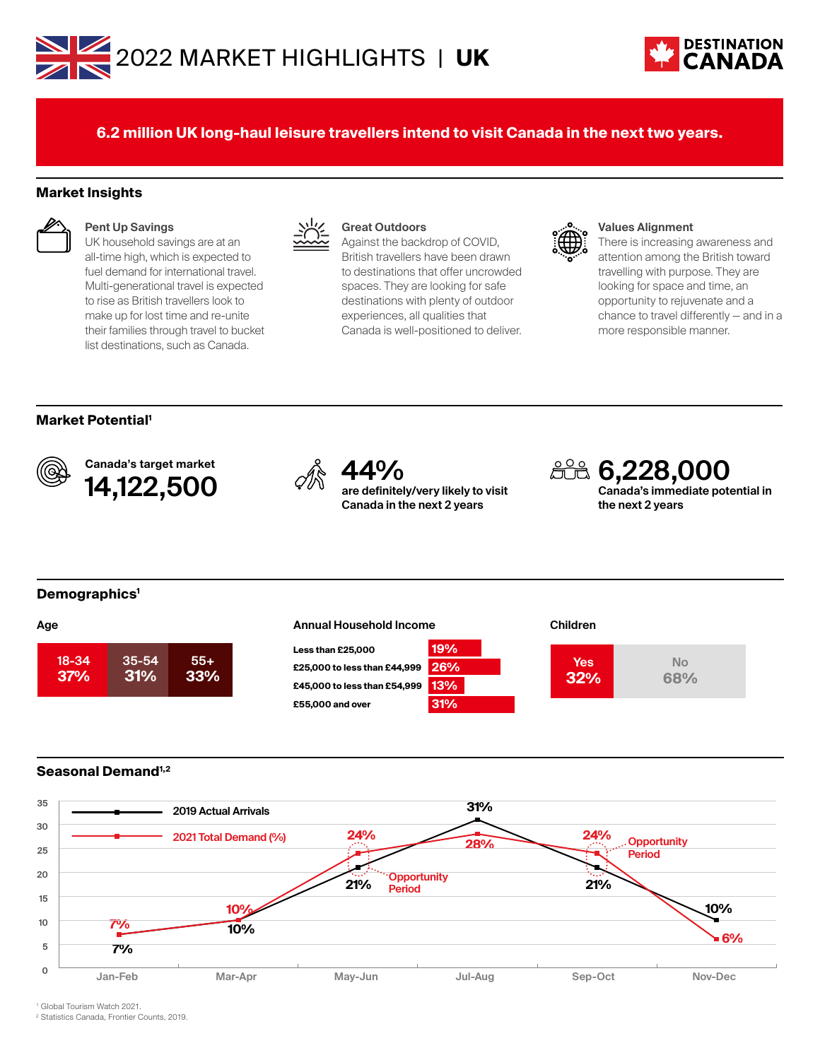



**6.2 million UK long-haul leisure travellers intend to visit Canada in the next two years.**

#### **Market Insights**



#### **Pent Up Savings**

UK household savings are at an all-time high, which is expected to fuel demand for international travel. Multi-generational travel is expected to rise as British travellers look to make up for lost time and re-unite their families through travel to bucket list destinations, such as Canada.



#### **Great Outdoors**

Against the backdrop of COVID, British travellers have been drawn to destinations that offer uncrowded spaces. They are looking for safe destinations with plenty of outdoor experiences, all qualities that Canada is well-positioned to deliver.



#### **Values Alignment**

There is increasing awareness and attention among the British toward travelling with purpose. They are looking for space and time, an opportunity to rejuvenate and a chance to travel differently — and in a more responsible manner.

#### **Market Potential1**



Canada's target market Canada's target market<br>**14,122,500**  $\qquad \qquad \oslash \qquad \qquad \textrm{are definite}$ 



**are definitely/very likely to visit Canada in the next 2 years**



#### **Demographics1**

| .     |           |       |
|-------|-----------|-------|
| 18-34 | $35 - 54$ | $55+$ |
| 37%   | 31%       | 33%   |

## **Age the Children Children Annual Household Income <b>Children Less than £25,000 19%**







### **Seasonal Demand1,2**



1 Global Tourism Watch 2021.

2 Statistics Canada, Frontier Counts, 2019.